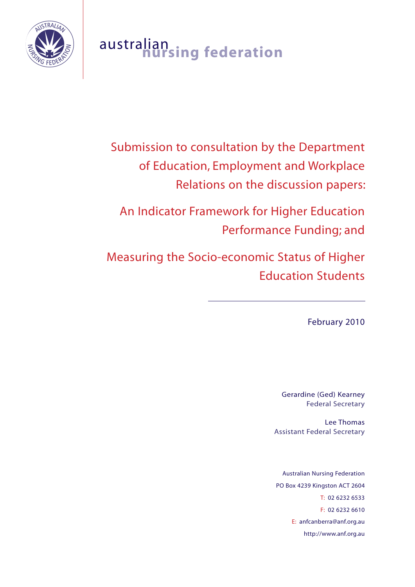

# australian **nursing federation**

Submission to consultation by the Department of Education, Employment and Workplace Relations on the discussion papers:

An Indicator Framework for Higher Education Performance Funding; and

Measuring the Socio-economic Status of Higher Education Students

February 2010

 $\overline{a}$ 

Gerardine (Ged) Kearney Federal Secretary

Lee Thomas Assistant Federal Secretary

Australian Nursing Federation PO Box 4239 Kingston ACT 2604 T: 02 6232 6533 F: 02 6232 6610 E: anfcanberra@anf.org.au http://www.anf.org.au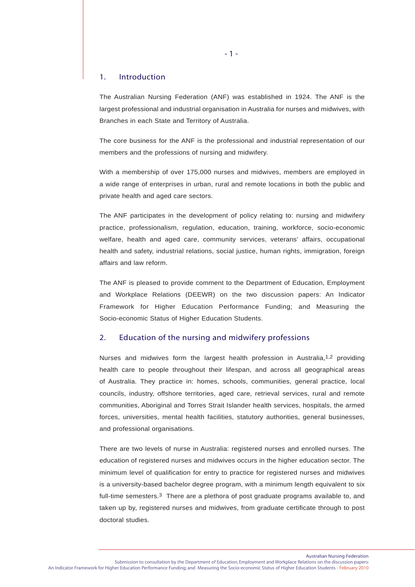# 1. Introduction

The Australian Nursing Federation (ANF) was established in 1924. The ANF is the largest professional and industrial organisation in Australia for nurses and midwives, with Branches in each State and Territory of Australia.

The core business for the ANF is the professional and industrial representation of our members and the professions of nursing and midwifery.

With a membership of over 175,000 nurses and midwives, members are employed in a wide range of enterprises in urban, rural and remote locations in both the public and private health and aged care sectors.

The ANF participates in the development of policy relating to: nursing and midwifery practice, professionalism, regulation, education, training, workforce, socio-economic welfare, health and aged care, community services, veterans' affairs, occupational health and safety, industrial relations, social justice, human rights, immigration, foreign affairs and law reform.

The ANF is pleased to provide comment to the Department of Education, Employment and Workplace Relations (DEEWR) on the two discussion papers: An Indicator Framework for Higher Education Performance Funding; and Measuring the Socio-economic Status of Higher Education Students.

# 2. Education of the nursing and midwifery professions

Nurses and midwives form the largest health profession in Australia,<sup>1,2</sup> providing health care to people throughout their lifespan, and across all geographical areas of Australia. They practice in: homes, schools, communities, general practice, local councils, industry, offshore territories, aged care, retrieval services, rural and remote communities, Aboriginal and Torres Strait Islander health services, hospitals, the armed forces, universities, mental health facilities, statutory authorities, general businesses, and professional organisations.

There are two levels of nurse in Australia: registered nurses and enrolled nurses. The education of registered nurses and midwives occurs in the higher education sector. The minimum level of qualification for entry to practice for registered nurses and midwives is a university-based bachelor degree program, with a minimum length equivalent to six full-time semesters.<sup>3</sup> There are a plethora of post graduate programs available to, and taken up by, registered nurses and midwives, from graduate certificate through to post doctoral studies.

Australian Nursing Federation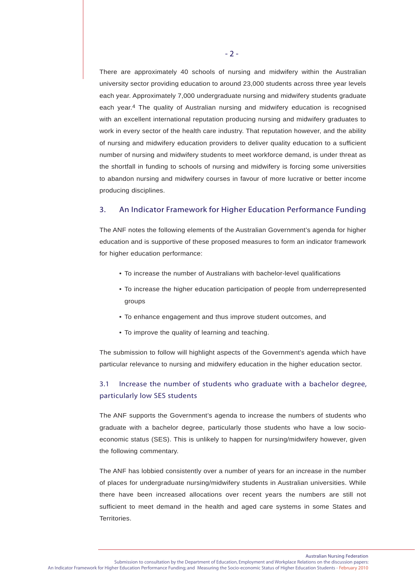There are approximately 40 schools of nursing and midwifery within the Australian university sector providing education to around 23,000 students across three year levels each year. Approximately 7,000 undergraduate nursing and midwifery students graduate each year.4 The quality of Australian nursing and midwifery education is recognised with an excellent international reputation producing nursing and midwifery graduates to work in every sector of the health care industry. That reputation however, and the ability of nursing and midwifery education providers to deliver quality education to a sufficient number of nursing and midwifery students to meet workforce demand, is under threat as the shortfall in funding to schools of nursing and midwifery is forcing some universities to abandon nursing and midwifery courses in favour of more lucrative or better income producing disciplines.

# 3. An Indicator Framework for Higher Education Performance Funding

The ANF notes the following elements of the Australian Government's agenda for higher education and is supportive of these proposed measures to form an indicator framework for higher education performance:

- To increase the number of Australians with bachelor-level qualifications
- To increase the higher education participation of people from underrepresented groups
- To enhance engagement and thus improve student outcomes, and
- To improve the quality of learning and teaching.

The submission to follow will highlight aspects of the Government's agenda which have particular relevance to nursing and midwifery education in the higher education sector.

# 3.1 Increase the number of students who graduate with a bachelor degree, particularly low SES students

The ANF supports the Government's agenda to increase the numbers of students who graduate with a bachelor degree, particularly those students who have a low socioeconomic status (SES). This is unlikely to happen for nursing/midwifery however, given the following commentary.

The ANF has lobbied consistently over a number of years for an increase in the number of places for undergraduate nursing/midwifery students in Australian universities. While there have been increased allocations over recent years the numbers are still not sufficient to meet demand in the health and aged care systems in some States and Territories.

Australian Nursing Federation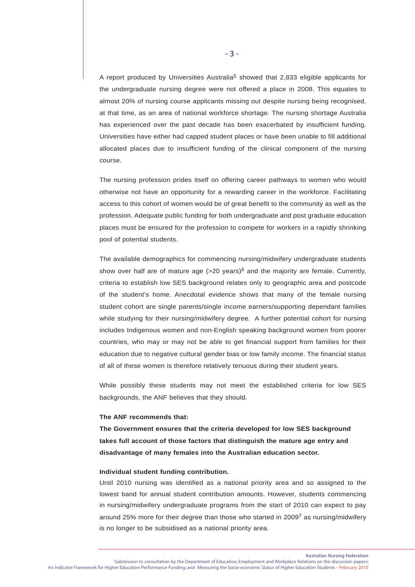A report produced by Universities Australia<sup>5</sup> showed that 2,833 eligible applicants for the undergraduate nursing degree were not offered a place in 2008. This equates to almost 20% of nursing course applicants missing out despite nursing being recognised, at that time, as an area of national workforce shortage. The nursing shortage Australia has experienced over the past decade has been exacerbated by insufficient funding. Universities have either had capped student places or have been unable to fill additional allocated places due to insufficient funding of the clinical component of the nursing course.

The nursing profession prides itself on offering career pathways to women who would otherwise not have an opportunity for a rewarding career in the workforce. Facilitating access to this cohort of women would be of great benefit to the community as well as the profession. Adequate public funding for both undergraduate and post graduate education places must be ensured for the profession to compete for workers in a rapidly shrinking pool of potential students.

The available demographics for commencing nursing/midwifery undergraduate students show over half are of mature age  $(>=20 \text{ years})^6$  and the majority are female. Currently, criteria to establish low SES background relates only to geographic area and postcode of the student's home. Anecdotal evidence shows that many of the female nursing student cohort are single parents/single income earners/supporting dependant families while studying for their nursing/midwifery degree. A further potential cohort for nursing includes Indigenous women and non-English speaking background women from poorer countries, who may or may not be able to get financial support from families for their education due to negative cultural gender bias or low family income. The financial status of all of these women is therefore relatively tenuous during their student years.

While possibly these students may not meet the established criteria for low SES backgrounds, the ANF believes that they should.

#### **The ANF recommends that:**

**The Government ensures that the criteria developed for low SES background takes full account of those factors that distinguish the mature age entry and disadvantage of many females into the Australian education sector.**

# **Individual student funding contribution.**

Until 2010 nursing was identified as a national priority area and so assigned to the lowest band for annual student contribution amounts. However, students commencing in nursing/midwifery undergraduate programs from the start of 2010 can expect to pay around 25% more for their degree than those who started in 20097 as nursing/midwifery is no longer to be subsidised as a national priority area.

Australian Nursing Federation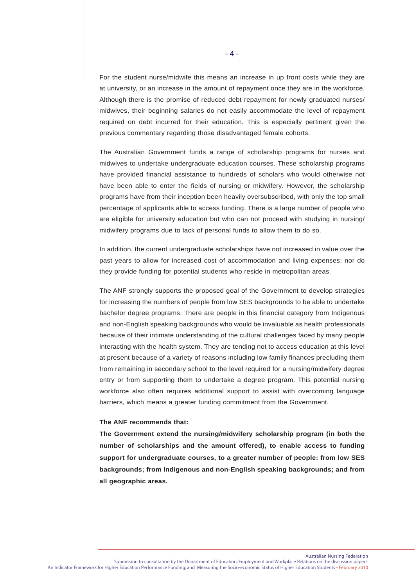For the student nurse/midwife this means an increase in up front costs while they are at university, or an increase in the amount of repayment once they are in the workforce. Although there is the promise of reduced debt repayment for newly graduated nurses/ midwives, their beginning salaries do not easily accommodate the level of repayment required on debt incurred for their education. This is especially pertinent given the previous commentary regarding those disadvantaged female cohorts.

The Australian Government funds a range of scholarship programs for nurses and midwives to undertake undergraduate education courses. These scholarship programs have provided financial assistance to hundreds of scholars who would otherwise not have been able to enter the fields of nursing or midwifery. However, the scholarship programs have from their inception been heavily oversubscribed, with only the top small percentage of applicants able to access funding. There is a large number of people who are eligible for university education but who can not proceed with studying in nursing/ midwifery programs due to lack of personal funds to allow them to do so.

In addition, the current undergraduate scholarships have not increased in value over the past years to allow for increased cost of accommodation and living expenses; nor do they provide funding for potential students who reside in metropolitan areas.

The ANF strongly supports the proposed goal of the Government to develop strategies for increasing the numbers of people from low SES backgrounds to be able to undertake bachelor degree programs. There are people in this financial category from Indigenous and non-English speaking backgrounds who would be invaluable as health professionals because of their intimate understanding of the cultural challenges faced by many people interacting with the health system. They are tending not to access education at this level at present because of a variety of reasons including low family finances precluding them from remaining in secondary school to the level required for a nursing/midwifery degree entry or from supporting them to undertake a degree program. This potential nursing workforce also often requires additional support to assist with overcoming language barriers, which means a greater funding commitment from the Government.

#### **The ANF recommends that:**

**The Government extend the nursing/midwifery scholarship program (in both the number of scholarships and the amount offered), to enable access to funding support for undergraduate courses, to a greater number of people: from low SES backgrounds; from Indigenous and non-English speaking backgrounds; and from all geographic areas.**

Australian Nursing Federation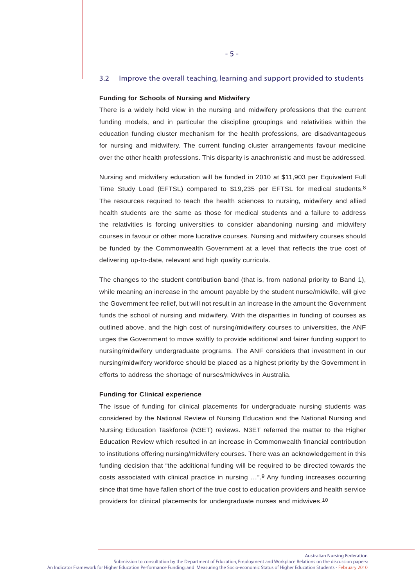#### 3.2 Improve the overall teaching, learning and support provided to students

#### **Funding for Schools of Nursing and Midwifery**

There is a widely held view in the nursing and midwifery professions that the current funding models, and in particular the discipline groupings and relativities within the education funding cluster mechanism for the health professions, are disadvantageous for nursing and midwifery. The current funding cluster arrangements favour medicine over the other health professions. This disparity is anachronistic and must be addressed.

Nursing and midwifery education will be funded in 2010 at \$11,903 per Equivalent Full Time Study Load (EFTSL) compared to \$19,235 per EFTSL for medical students.<sup>8</sup> The resources required to teach the health sciences to nursing, midwifery and allied health students are the same as those for medical students and a failure to address the relativities is forcing universities to consider abandoning nursing and midwifery courses in favour or other more lucrative courses. Nursing and midwifery courses should be funded by the Commonwealth Government at a level that reflects the true cost of delivering up-to-date, relevant and high quality curricula.

The changes to the student contribution band (that is, from national priority to Band 1), while meaning an increase in the amount payable by the student nurse/midwife, will give the Government fee relief, but will not result in an increase in the amount the Government funds the school of nursing and midwifery. With the disparities in funding of courses as outlined above, and the high cost of nursing/midwifery courses to universities, the ANF urges the Government to move swiftly to provide additional and fairer funding support to nursing/midwifery undergraduate programs. The ANF considers that investment in our nursing/midwifery workforce should be placed as a highest priority by the Government in efforts to address the shortage of nurses/midwives in Australia.

#### **Funding for Clinical experience**

The issue of funding for clinical placements for undergraduate nursing students was considered by the National Review of Nursing Education and the National Nursing and Nursing Education Taskforce (N3ET) reviews. N3ET referred the matter to the Higher Education Review which resulted in an increase in Commonwealth financial contribution to institutions offering nursing/midwifery courses. There was an acknowledgement in this funding decision that "the additional funding will be required to be directed towards the costs associated with clinical practice in nursing …".9 Any funding increases occurring since that time have fallen short of the true cost to education providers and health service providers for clinical placements for undergraduate nurses and midwives.10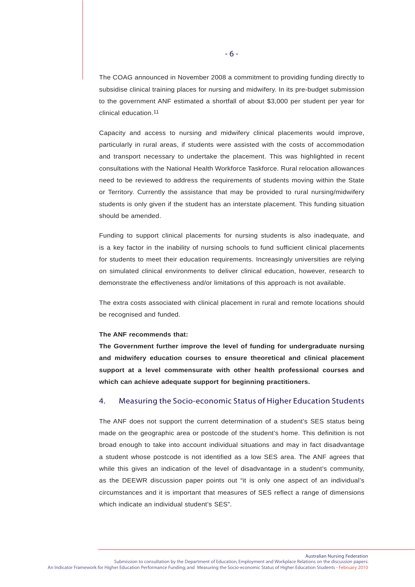The COAG announced in November 2008 a commitment to providing funding directly to subsidise clinical training places for nursing and midwifery. In its pre-budget submission to the government ANF estimated a shortfall of about \$3,000 per student per year for clinical education.11

Capacity and access to nursing and midwifery clinical placements would improve, particularly in rural areas, if students were assisted with the costs of accommodation and transport necessary to undertake the placement. This was highlighted in recent consultations with the National Health Workforce Taskforce. Rural relocation allowances need to be reviewed to address the requirements of students moving within the State or Territory. Currently the assistance that may be provided to rural nursing/midwifery students is only given if the student has an interstate placement. This funding situation should be amended.

Funding to support clinical placements for nursing students is also inadequate, and is a key factor in the inability of nursing schools to fund sufficient clinical placements for students to meet their education requirements. Increasingly universities are relying on simulated clinical environments to deliver clinical education, however, research to demonstrate the effectiveness and/or limitations of this approach is not available.

The extra costs associated with clinical placement in rural and remote locations should be recognised and funded.

#### **The ANF recommends that:**

**The Government further improve the level of funding for undergraduate nursing and midwifery education courses to ensure theoretical and clinical placement support at a level commensurate with other health professional courses and which can achieve adequate support for beginning practitioners.**

# 4. Measuring the Socio-economic Status of Higher Education Students

The ANF does not support the current determination of a student's SES status being made on the geographic area or postcode of the student's home. This definition is not broad enough to take into account individual situations and may in fact disadvantage a student whose postcode is not identified as a low SES area. The ANF agrees that while this gives an indication of the level of disadvantage in a student's community, as the DEEWR discussion paper points out "it is only one aspect of an individual's circumstances and it is important that measures of SES reflect a range of dimensions which indicate an individual student's SES".

Australian Nursing Federation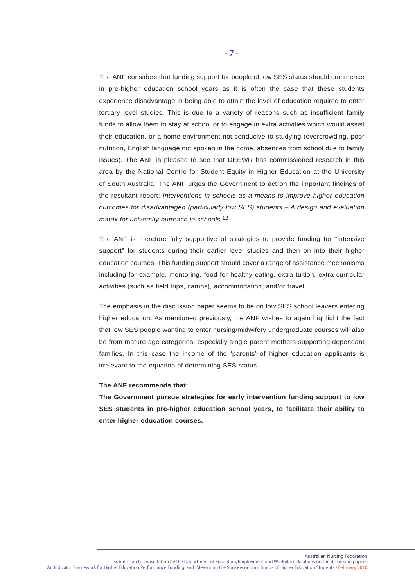The ANF considers that funding support for people of low SES status should commence in pre-higher education school years as it is often the case that these students experience disadvantage in being able to attain the level of education required to enter tertiary level studies. This is due to a variety of reasons such as insufficient family funds to allow them to stay at school or to engage in extra activities which would assist their education, or a home environment not conducive to studying (overcrowding, poor nutrition, English language not spoken in the home, absences from school due to family issues). The ANF is pleased to see that DEEWR has commissioned research in this area by the National Centre for Student Equity in Higher Education at the University of South Australia. The ANF urges the Government to act on the important findings of the resultant report: *Interventions in schools as a means to improve higher education outcomes for disadvantaged (particularly low SES) students – A design and evaluation matrix for university outreach in schools.*12

The ANF is therefore fully supportive of strategies to provide funding for "intensive support" for students during their earlier level studies and then on into their higher education courses. This funding support should cover a range of assistance mechanisms including for example, mentoring, food for healthy eating, extra tuition, extra curricular activities (such as field trips, camps), accommodation, and/or travel.

The emphasis in the discussion paper seems to be on low SES school leavers entering higher education. As mentioned previously, the ANF wishes to again highlight the fact that low SES people wanting to enter nursing/midwifery undergraduate courses will also be from mature age categories, especially single parent mothers supporting dependant families. In this case the income of the 'parents' of higher education applicants is irrelevant to the equation of determining SES status.

## **The ANF recommends that:**

**The Government pursue strategies for early intervention funding support to low SES students in pre-higher education school years, to facilitate their ability to enter higher education courses.**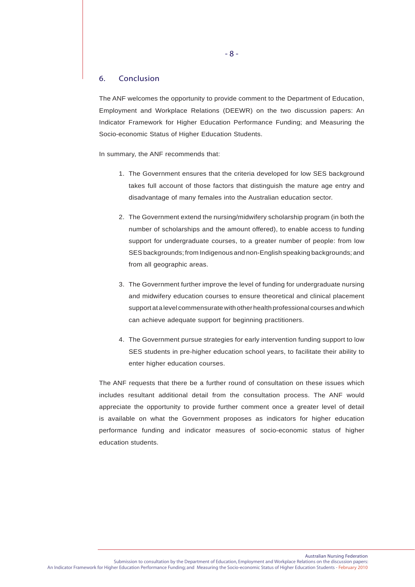# 6. Conclusion

The ANF welcomes the opportunity to provide comment to the Department of Education, Employment and Workplace Relations (DEEWR) on the two discussion papers: An Indicator Framework for Higher Education Performance Funding; and Measuring the Socio-economic Status of Higher Education Students.

In summary, the ANF recommends that:

- 1. The Government ensures that the criteria developed for low SES background takes full account of those factors that distinguish the mature age entry and disadvantage of many females into the Australian education sector.
- 2. The Government extend the nursing/midwifery scholarship program (in both the number of scholarships and the amount offered), to enable access to funding support for undergraduate courses, to a greater number of people: from low SES backgrounds; from Indigenous and non-English speaking backgrounds; and from all geographic areas.
- 3. The Government further improve the level of funding for undergraduate nursing and midwifery education courses to ensure theoretical and clinical placement support at a level commensurate with other health professional courses and which can achieve adequate support for beginning practitioners.
- 4. The Government pursue strategies for early intervention funding support to low SES students in pre-higher education school years, to facilitate their ability to enter higher education courses.

The ANF requests that there be a further round of consultation on these issues which includes resultant additional detail from the consultation process. The ANF would appreciate the opportunity to provide further comment once a greater level of detail is available on what the Government proposes as indicators for higher education performance funding and indicator measures of socio-economic status of higher education students.

- 8 -